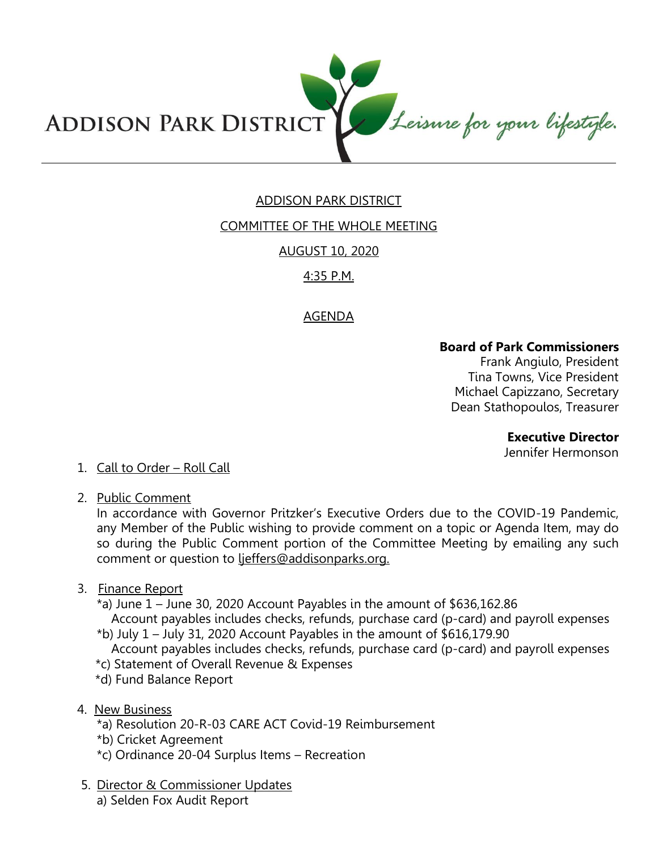

# ADDISON PARK DISTRICT

# COMMITTEE OF THE WHOLE MEETING

AUGUST 10, 2020

# 4:35 P.M.

# AGENDA

#### **Board of Park Commissioners**

Frank Angiulo, President Tina Towns, Vice President Michael Capizzano, Secretary Dean Stathopoulos, Treasurer

**Executive Director** 

Jennifer Hermonson

# 1. Call to Order – Roll Call

2. Public Comment

In accordance with Governor Pritzker's Executive Orders due to the COVID-19 Pandemic, any Member of the Public wishing to provide comment on a topic or Agenda Item, may do so during the Public Comment portion of the Committee Meeting by emailing any such comment or question to lieffers@addisonparks.org.

# 3. Finance Report

- \*a) June 1 June 30, 2020 Account Payables in the amount of \$636,162.86 Account payables includes checks, refunds, purchase card (p-card) and payroll expenses
- $*$ b) July 1 July 31, 2020 Account Payables in the amount of \$616,179.90 Account payables includes checks, refunds, purchase card (p-card) and payroll expenses
- \*c) Statement of Overall Revenue & Expenses
- \*d) Fund Balance Report
- 4. New Business
	- \*a) Resolution 20-R-03 CARE ACT Covid-19 Reimbursement
	- \*b) Cricket Agreement
	- \*c) Ordinance 20-04 Surplus Items Recreation
- 5. Director & Commissioner Updates a) Selden Fox Audit Report